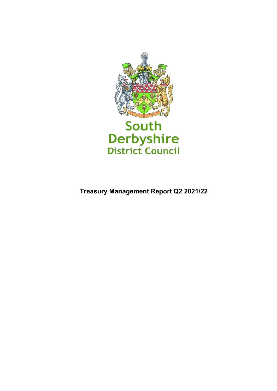

**Treasury Management Report Q2 2021/22**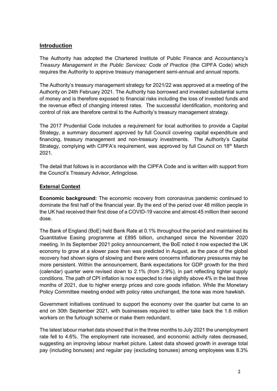# **Introduction**

The Authority has adopted the Chartered Institute of Public Finance and Accountancy's *Treasury Management in the Public Services: Code of Practice* (the CIPFA Code) which requires the Authority to approve treasury management semi-annual and annual reports.

The Authority's treasury management strategy for 2021/22 was approved at a meeting of the Authority on 24th February 2021. The Authority has borrowed and invested substantial sums of money and is therefore exposed to financial risks including the loss of invested funds and the revenue effect of changing interest rates. The successful identification, monitoring and control of risk are therefore central to the Authority's treasury management strategy.

The 2017 Prudential Code includes a requirement for local authorities to provide a Capital Strategy, a summary document approved by full Council covering capital expenditure and financing, treasury management and non-treasury investments. The Authority's Capital Strategy, complying with CIPFA's requirement, was approved by full Council on 18<sup>th</sup> March 2021.

The detail that follows is in accordance with the CIPFA Code and is written with support from the Council's Treasury Advisor, Arlingclose.

### **External Context**

**Economic background:** The economic recovery from coronavirus pandemic continued to dominate the first half of the financial year. By the end of the period over 48 million people in the UK had received their first dose of a COVID-19 vaccine and almost 45 million their second dose.

The Bank of England (BoE) held Bank Rate at 0.1% throughout the period and maintained its Quantitative Easing programme at £895 billion, unchanged since the November 2020 meeting. In its September 2021 policy announcement, the BoE noted it now expected the UK economy to grow at a slower pace than was predicted in August, as the pace of the global recovery had shown signs of slowing and there were concerns inflationary pressures may be more persistent. Within the announcement, Bank expectations for GDP growth for the third (calendar) quarter were revised down to 2.1% (from 2.9%), in part reflecting tighter supply conditions. The path of CPI inflation is now expected to rise slightly above 4% in the last three months of 2021, due to higher energy prices and core goods inflation. While the Monetary Policy Committee meeting ended with policy rates unchanged, the tone was more hawkish.

Government initiatives continued to support the economy over the quarter but came to an end on 30th September 2021, with businesses required to either take back the 1.6 million workers on the furlough scheme or make them redundant.

The latest labour market data showed that in the three months to July 2021 the unemployment rate fell to 4.6%. The employment rate increased, and economic activity rates decreased, suggesting an improving labour market picture. Latest data showed growth in average total pay (including bonuses) and regular pay (excluding bonuses) among employees was 8.3%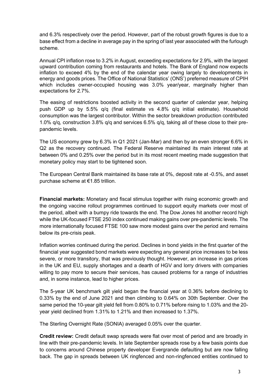and 6.3% respectively over the period. However, part of the robust growth figures is due to a base effect from a decline in average pay in the spring of last year associated with the furlough scheme.

Annual CPI inflation rose to 3.2% in August, exceeding expectations for 2.9%, with the largest upward contribution coming from restaurants and hotels. The Bank of England now expects inflation to exceed 4% by the end of the calendar year owing largely to developments in energy and goods prices. The Office of National Statistics' (ONS') preferred measure of CPIH which includes owner-occupied housing was 3.0% year/year, marginally higher than expectations for 2.7%.

The easing of restrictions boosted activity in the second quarter of calendar year, helping push GDP up by 5.5% q/q (final estimate vs 4.8% q/q initial estimate). Household consumption was the largest contributor. Within the sector breakdown production contributed 1.0% q/q, construction 3.8% q/q and services 6.5% q/q, taking all of these close to their prepandemic levels.

The US economy grew by 6.3% in Q1 2021 (Jan-Mar) and then by an even stronger 6.6% in Q2 as the recovery continued. The Federal Reserve maintained its main interest rate at between 0% and 0.25% over the period but in its most recent meeting made suggestion that monetary policy may start to be tightened soon.

The European Central Bank maintained its base rate at 0%, deposit rate at -0.5%, and asset purchase scheme at €1.85 trillion.

**Financial markets:** Monetary and fiscal stimulus together with rising economic growth and the ongoing vaccine rollout programmes continued to support equity markets over most of the period, albeit with a bumpy ride towards the end. The Dow Jones hit another record high while the UK-focused FTSE 250 index continued making gains over pre-pandemic levels. The more internationally focused FTSE 100 saw more modest gains over the period and remains below its pre-crisis peak.

Inflation worries continued during the period. Declines in bond yields in the first quarter of the financial year suggested bond markets were expecting any general price increases to be less severe, or more transitory, that was previously thought. However, an increase in gas prices in the UK and EU, supply shortages and a dearth of HGV and lorry drivers with companies willing to pay more to secure their services, has caused problems for a range of industries and, in some instance, lead to higher prices.

The 5-year UK benchmark gilt yield began the financial year at 0.36% before declining to 0.33% by the end of June 2021 and then climbing to 0.64% on 30th September. Over the same period the 10-year gilt yield fell from 0.80% to 0.71% before rising to 1.03% and the 20 year yield declined from 1.31% to 1.21% and then increased to 1.37%.

The Sterling Overnight Rate (SONIA) averaged 0.05% over the quarter.

**Credit review:** Credit default swap spreads were flat over most of period and are broadly in line with their pre-pandemic levels. In late September spreads rose by a few basis points due to concerns around Chinese property developer Evergrande defaulting but are now falling back. The gap in spreads between UK ringfenced and non-ringfenced entities continued to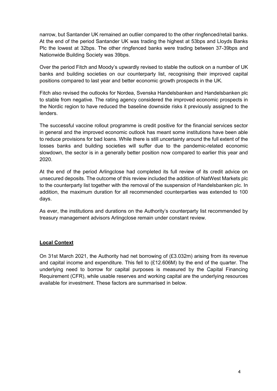narrow, but Santander UK remained an outlier compared to the other ringfenced/retail banks. At the end of the period Santander UK was trading the highest at 53bps and Lloyds Banks Plc the lowest at 32bps. The other ringfenced banks were trading between 37-39bps and Nationwide Building Society was 39bps.

Over the period Fitch and Moody's upwardly revised to stable the outlook on a number of UK banks and building societies on our counterparty list, recognising their improved capital positions compared to last year and better economic growth prospects in the UK.

Fitch also revised the outlooks for Nordea, Svenska Handelsbanken and Handelsbanken plc to stable from negative. The rating agency considered the improved economic prospects in the Nordic region to have reduced the baseline downside risks it previously assigned to the lenders.

The successful vaccine rollout programme is credit positive for the financial services sector in general and the improved economic outlook has meant some institutions have been able to reduce provisions for bad loans. While there is still uncertainty around the full extent of the losses banks and building societies will suffer due to the pandemic-related economic slowdown, the sector is in a generally better position now compared to earlier this year and 2020.

At the end of the period Arlingclose had completed its full review of its credit advice on unsecured deposits. The outcome of this review included the addition of NatWest Markets plc to the counterparty list together with the removal of the suspension of Handelsbanken plc. In addition, the maximum duration for all recommended counterparties was extended to 100 days.

As ever, the institutions and durations on the Authority's counterparty list recommended by treasury management advisors Arlingclose remain under constant review.

#### **Local Context**

On 31st March 2021, the Authority had net borrowing of (£3.032m) arising from its revenue and capital income and expenditure. This fell to (£12.606M) by the end of the quarter. The underlying need to borrow for capital purposes is measured by the Capital Financing Requirement (CFR), while usable reserves and working capital are the underlying resources available for investment. These factors are summarised in below.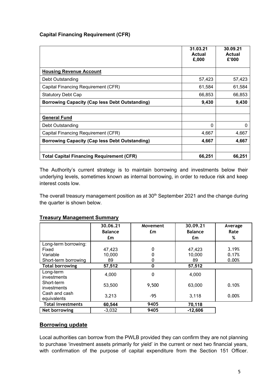# **Capital Financing Requirement (CFR)**

|                                                       | 31.03.21<br>Actual<br>£,000 | 30.09.21<br><b>Actual</b><br>£'000 |
|-------------------------------------------------------|-----------------------------|------------------------------------|
| <b>Housing Revenue Account</b>                        |                             |                                    |
| Debt Outstanding                                      | 57,423                      | 57,423                             |
| Capital Financing Requirement (CFR)                   | 61,584                      | 61,584                             |
| <b>Statutory Debt Cap</b>                             | 66,853                      | 66,853                             |
| <b>Borrowing Capacity (Cap less Debt Outstanding)</b> | 9,430                       | 9,430                              |
|                                                       |                             |                                    |
| <b>General Fund</b>                                   |                             |                                    |
| Debt Outstanding                                      | 0                           | 0                                  |
| Capital Financing Requirement (CFR)                   | 4,667                       | 4,667                              |
| <b>Borrowing Capacity (Cap less Debt Outstanding)</b> | 4,667                       | 4,667                              |
| <b>Total Capital Financing Requirement (CFR)</b>      | 66,251                      | 66,251                             |

The Authority's current strategy is to maintain borrowing and investments below their underlying levels, sometimes known as internal borrowing, in order to reduce risk and keep interest costs low.

The overall treasury management position as at 30<sup>th</sup> September 2021 and the change during the quarter is shown below.

|                              | 30.06.21<br><b>Balance</b><br>£m | Movement<br>£m | 30.09.21<br><b>Balance</b><br>£m | Average<br>Rate<br>% |
|------------------------------|----------------------------------|----------------|----------------------------------|----------------------|
| Long-term borrowing:         |                                  |                |                                  |                      |
| Fixed                        | 47,423                           | 0              | 47,423                           | 3.19%                |
| Variable                     | 10,000                           | 0              | 10,000                           | 0.17%                |
| Short-term borrowing         | 89                               | 0              | 89                               | 0.00%                |
| <b>Total borrowing</b>       | 57,512                           | $\mathbf 0$    | 57,512                           |                      |
| Long-term<br>investments     | 4,000                            | 0              | 4,000                            |                      |
| Short-term<br>investments    | 53,500                           | 9,500          | 63,000                           | 0.10%                |
| Cash and cash<br>equivalents | 3,213                            | $-95$          | 3,118                            | 0.00%                |
| <b>Total investments</b>     | 60,544                           | 9405           | 70,118                           |                      |
| Net borrowing                | $-3,032$                         | 9405           | $-12,606$                        |                      |

## **Treasury Management Summary**

### **Borrowing update**

Local authorities can borrow from the PWLB provided they can confirm they are not planning to purchase 'investment assets primarily for yield' in the current or next two financial years, with confirmation of the purpose of capital expenditure from the Section 151 Officer.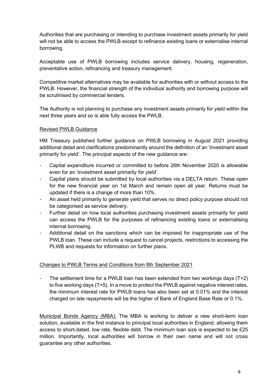Authorities that are purchasing or intending to purchase investment assets primarily for yield will not be able to access the PWLB except to refinance existing loans or externalise internal borrowing.

Acceptable use of PWLB borrowing includes service delivery, housing, regeneration, preventative action, refinancing and treasury management.

Competitive market alternatives may be available for authorities with or without access to the PWLB. However, the financial strength of the individual authority and borrowing purpose will be scrutinised by commercial lenders.

The Authority is not planning to purchase any investment assets primarily for yield within the next three years and so is able fully access the PWLB.

### Revised PWLB Guidance

HM Treasury published further guidance on PWLB borrowing in August 2021 providing additional detail and clarifications predominantly around the definition of an 'investment asset primarily for yield'. The principal aspects of the new guidance are:

- Capital expenditure incurred or committed to before 26th November 2020 is allowable even for an 'investment asset primarily for yield'.
- Capital plans should be submitted by local authorities via a DELTA return. These open for the new financial year on 1st March and remain open all year. Returns must be updated if there is a change of more than 10%.
- An asset held primarily to generate yield that serves no direct policy purpose should not be categorised as service delivery.
- Further detail on how local authorities purchasing investment assets primarily for yield can access the PWLB for the purposes of refinancing existing loans or externalising internal borrowing.
- Additional detail on the sanctions which can be imposed for inappropriate use of the PWLB loan. These can include a request to cancel projects, restrictions to accessing the PLWB and requests for information on further plans.

#### Changes to PWLB Terms and Conditions from 8th September 2021

The settlement time for a PWLB loan has been extended from two workings days  $(T+2)$ to five working days (T+5). In a move to protect the PWLB against negative interest rates, the minimum interest rate for PWLB loans has also been set at 0.01% and the interest charged on late repayments will be the higher of Bank of England Base Rate or 0.1%.

Municipal Bonds Agency (MBA): The MBA is working to deliver a new short-term loan solution, available in the first instance to principal local authorities in England, allowing them access to short-dated, low rate, flexible debt. The minimum loan size is expected to be £25 million. Importantly, local authorities will borrow in their own name and will not cross guarantee any other authorities.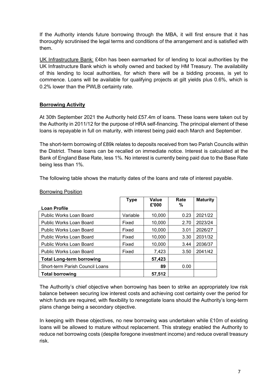If the Authority intends future borrowing through the MBA, it will first ensure that it has thoroughly scrutinised the legal terms and conditions of the arrangement and is satisfied with them.

UK Infrastructure Bank: £4bn has been earmarked for of lending to local authorities by the UK Infrastructure Bank which is wholly owned and backed by HM Treasury. The availability of this lending to local authorities, for which there will be a bidding process, is yet to commence. Loans will be available for qualifying projects at gilt yields plus 0.6%, which is 0.2% lower than the PWLB certainty rate.

### **Borrowing Activity**

At 30th September 2021 the Authority held £57.4m of loans. These loans were taken out by the Authority in 2011/12 for the purpose of HRA self-financing. The principal element of these loans is repayable in full on maturity, with interest being paid each March and September.

The short-term borrowing of £89k relates to deposits received from two Parish Councils within the District. These loans can be recalled on immediate notice. Interest is calculated at the Bank of England Base Rate, less 1%. No interest is currently being paid due to the Base Rate being less than 1%.

The following table shows the maturity dates of the loans and rate of interest payable.

|                                  | <b>Type</b> | Value  | Rate | <b>Maturity</b> |
|----------------------------------|-------------|--------|------|-----------------|
| <b>Loan Profile</b>              |             | £'000  | ℅    |                 |
| Public Works Loan Board          | Variable    | 10,000 | 0.23 | 2021/22         |
| Public Works Loan Board          | Fixed       | 10,000 | 2.70 | 2023/24         |
| Public Works Loan Board          | Fixed       | 10,000 | 3.01 | 2026/27         |
| Public Works Loan Board          | Fixed       | 10,000 | 3.30 | 2031/32         |
| <b>Public Works Loan Board</b>   | Fixed       | 10,000 | 3.44 | 2036/37         |
| <b>Public Works Loan Board</b>   | Fixed       | 7,423  | 3.50 | 2041/42         |
| <b>Total Long-term borrowing</b> |             | 57,423 |      |                 |
| Short-term Parish Council Loans  |             | 89     | 0.00 |                 |
| <b>Total borrowing</b>           |             | 57.512 |      |                 |

#### Borrowing Position

The Authority's chief objective when borrowing has been to strike an appropriately low risk balance between securing low interest costs and achieving cost certainty over the period for which funds are required, with flexibility to renegotiate loans should the Authority's long-term plans change being a secondary objective.

In keeping with these objectives, no new borrowing was undertaken while £10m of existing loans will be allowed to mature without replacement. This strategy enabled the Authority to reduce net borrowing costs (despite foregone investment income) and reduce overall treasury risk.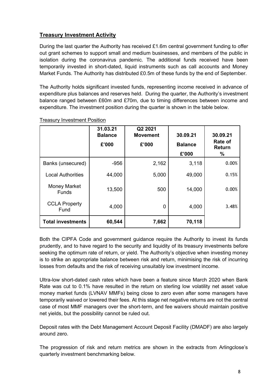# **Treasury Investment Activity**

During the last quarter the Authority has received £1.6m central government funding to offer out grant schemes to support small and medium businesses, and members of the public in isolation during the coronavirus pandemic. The additional funds received have been temporarily invested in short-dated, liquid instruments such as call accounts and Money Market Funds. The Authority has distributed £0.5m of these funds by the end of September.

The Authority holds significant invested funds, representing income received in advance of expenditure plus balances and reserves held. During the quarter, the Authority's investment balance ranged between £60m and £70m, due to timing differences between income and expenditure. The investment position during the quarter is shown in the table below.

|                                     | 31.03.21<br><b>Balance</b><br>£'000 | Q2 2021<br><b>Movement</b><br>£'000 | 30.09.21<br><b>Balance</b> | 30.09.21<br><b>Rate of</b><br><b>Return</b> |
|-------------------------------------|-------------------------------------|-------------------------------------|----------------------------|---------------------------------------------|
|                                     |                                     |                                     | £'000                      | $\%$                                        |
| Banks (unsecured)                   | $-956$                              | 2,162                               | 3,118                      | 0.00%                                       |
| <b>Local Authorities</b>            | 44,000                              | 5,000                               | 49,000                     | 0.15%                                       |
| <b>Money Market</b><br><b>Funds</b> | 13,500                              | 500                                 | 14,000                     | 0.00%                                       |
| <b>CCLA Property</b><br>Fund        | 4,000                               | 0                                   | 4,000                      | 3.48%                                       |
| <b>Total investments</b>            | 60,544                              | 7,662                               | 70,118                     |                                             |

Treasury Investment Position

Both the CIPFA Code and government guidance require the Authority to invest its funds prudently, and to have regard to the security and liquidity of its treasury investments before seeking the optimum rate of return, or yield. The Authority's objective when investing money is to strike an appropriate balance between risk and return, minimising the risk of incurring losses from defaults and the risk of receiving unsuitably low investment income.

Ultra-low short-dated cash rates which have been a feature since March 2020 when Bank Rate was cut to 0.1% have resulted in the return on sterling low volatility net asset value money market funds (LVNAV MMFs) being close to zero even after some managers have temporarily waived or lowered their fees. At this stage net negative returns are not the central case of most MMF managers over the short-term, and fee waivers should maintain positive net yields, but the possibility cannot be ruled out.

Deposit rates with the Debt Management Account Deposit Facility (DMADF) are also largely around zero.

The progression of risk and return metrics are shown in the extracts from Arlingclose's quarterly investment benchmarking below.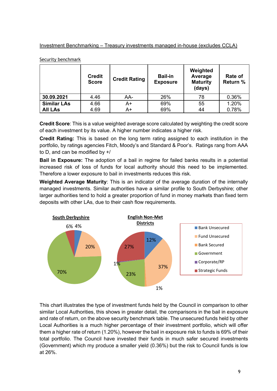### Investment Benchmarking – Treasury investments managed in-house (excludes CCLA)

|                    | <b>Credit</b><br><b>Score</b> | <b>Credit Rating</b> | <b>Bail-in</b><br><b>Exposure</b> | Weighted<br>Average<br><b>Maturity</b><br>(days) | Rate of<br>Return % |
|--------------------|-------------------------------|----------------------|-----------------------------------|--------------------------------------------------|---------------------|
| 30.09.2021         | 4.46                          | AA-                  | 26%                               | 78                                               | 0.36%               |
| <b>Similar LAs</b> | 4.66                          | A+                   | 69%                               | 55                                               | 1.20%               |
| <b>All LAs</b>     | 4.69                          | A+                   | 69%                               | 44                                               | 0.78%               |

Security benchmark

**Credit Score**: This is a value weighted average score calculated by weighting the credit score of each investment by its value. A higher number indicates a higher risk.

**Credit Rating:** This is based on the long term rating assigned to each institution in the portfolio, by ratings agencies Fitch, Moody's and Standard & Poor's. Ratings rang from AAA to D, and can be modified by +/

**Bail in Exposure:** The adoption of a bail in regime for failed banks results in a potential increased risk of loss of funds for local authority should this need to be implemented. Therefore a lower exposure to bail in investments reduces this risk.

**Weighted Average Maturity**: This is an indicator of the average duration of the internally managed investments. Similar authorities have a similar profile to South Derbyshire; other larger authorities tend to hold a greater proportion of fund in money markets than fixed term deposits with other LAs, due to their cash flow requirements.



This chart illustrates the type of investment funds held by the Council in comparison to other similar Local Authorities, this shows in greater detail, the comparisons in the bail in exposure and rate of return, on the above security benchmark table. The unsecured funds held by other Local Authorities is a much higher percentage of their investment portfolio, which will offer them a higher rate of return (1.20%), however the bail in exposure risk to funds is 69% of their total portfolio. The Council have invested their funds in much safer secured investments (Government) which my produce a smaller yield (0.36%) but the risk to Council funds is low at 26%.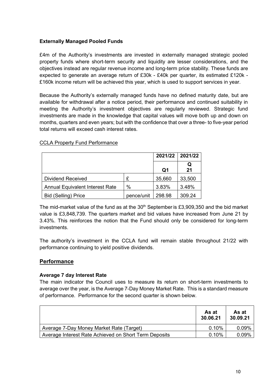### **Externally Managed Pooled Funds**

£4m of the Authority's investments are invested in externally managed strategic pooled property funds where short-term security and liquidity are lesser considerations, and the objectives instead are regular revenue income and long-term price stability. These funds are expected to generate an average return of £30k - £40k per quarter, its estimated £120k - £160k income return will be achieved this year, which is used to support services in year.

Because the Authority's externally managed funds have no defined maturity date, but are available for withdrawal after a notice period, their performance and continued suitability in meeting the Authority's investment objectives are regularly reviewed. Strategic fund investments are made in the knowledge that capital values will move both up and down on months, quarters and even years; but with the confidence that over a three- to five-year period total returns will exceed cash interest rates.

|                                        |            |        | 2021/22 2021/22 |
|----------------------------------------|------------|--------|-----------------|
|                                        |            | Q1     | Q<br>21         |
| Dividend Received                      | £          | 35,660 | 33,500          |
| <b>Annual Equivalent Interest Rate</b> | $\%$       | 3.83%  | 3.48%           |
| <b>Bid (Selling) Price</b>             | pence/unit | 298.98 | 309.24          |

#### CCLA Property Fund Performance

The mid-market value of the fund as at the  $30<sup>th</sup>$  September is £3,909,350 and the bid market value is £3,848,739. The quarters market and bid values have increased from June 21 by 3.43%. This reinforces the notion that the Fund should only be considered for long-term investments.

The authority's investment in the CCLA fund will remain stable throughout 21/22 with performance continuing to yield positive dividends.

#### **Performance**

#### **Average 7 day Interest Rate**

The main indicator the Council uses to measure its return on short-term investments to average over the year, is the Average 7-Day Money Market Rate. This is a standard measure of performance. Performance for the second quarter is shown below.

|                                                       | As at<br>30.06.21 | As at<br>30.09.21 |
|-------------------------------------------------------|-------------------|-------------------|
| Average 7-Day Money Market Rate (Target)              | 0.10%             | 0.09%             |
| Average Interest Rate Achieved on Short Term Deposits | 0.10%             | 0.09%             |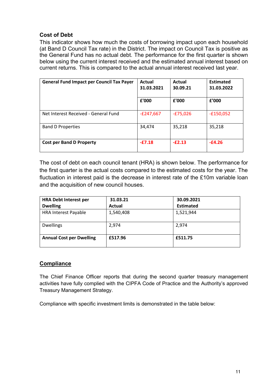# **Cost of Debt**

This indicator shows how much the costs of borrowing impact upon each household (at Band D Council Tax rate) in the District. The impact on Council Tax is positive as the General Fund has no actual debt. The performance for the first quarter is shown below using the current interest received and the estimated annual interest based on current returns. This is compared to the actual annual interest received last year.

| <b>General Fund Impact per Council Tax Payer</b> | Actual<br>31.03.2021 | Actual<br>30.09.21 | <b>Estimated</b><br>31.03.2022 |
|--------------------------------------------------|----------------------|--------------------|--------------------------------|
|                                                  | £'000                | £'000              | £'000                          |
| Net Interest Received - General Fund             | $-E247,667$          | $-E75,026$         | $-£150,052$                    |
| <b>Band D Properties</b>                         | 34,474               | 35,218             | 35,218                         |
| <b>Cost per Band D Property</b>                  | $-E7.18$             | $-E2.13$           | $-E4.26$                       |

The cost of debt on each council tenant (HRA) is shown below. The performance for the first quarter is the actual costs compared to the estimated costs for the year. The fluctuation in interest paid is the decrease in interest rate of the £10m variable loan and the acquisition of new council houses.

| <b>HRA Debt Interest per</b>    | 31.03.21  | 30.09.2021       |
|---------------------------------|-----------|------------------|
| <b>Dwelling</b>                 | Actual    | <b>Estimated</b> |
| <b>HRA Interest Payable</b>     | 1,540,408 | 1,521,944        |
| <b>Dwellings</b>                | 2,974     | 2,974            |
| <b>Annual Cost per Dwelling</b> | £517.96   | £511.75          |

# **Compliance**

The Chief Finance Officer reports that during the second quarter treasury management activities have fully complied with the CIPFA Code of Practice and the Authority's approved Treasury Management Strategy.

Compliance with specific investment limits is demonstrated in the table below: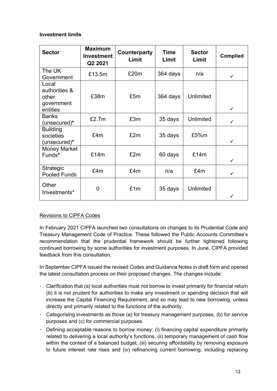### **Investment limits**

| <b>Sector</b>                                             | <b>Maximum</b><br><b>Investment</b><br>Q2 2021 | Counterparty<br>Limit | <b>Time</b><br>Limit | <b>Sector</b><br>Limit | <b>Complied</b> |
|-----------------------------------------------------------|------------------------------------------------|-----------------------|----------------------|------------------------|-----------------|
| The UK<br>Government                                      | £13.5m                                         | £20m                  | 364 days             | n/a                    | $\checkmark$    |
| Local<br>authorities &<br>other<br>government<br>entities | £38m                                           | £5m                   | 364 days             | Unlimited              | $\checkmark$    |
| <b>Banks</b><br>(unsecured)*                              | £2.7m                                          | £3m<br>35 days        |                      | Unlimited              | $\checkmark$    |
| <b>Building</b><br>societies<br>(unsecured)*              | £4m                                            | £2m                   |                      | £5%m                   | $\checkmark$    |
| <b>Money Market</b><br>Funds*                             | £2m<br>£14m<br>60 days                         |                       |                      | £14m                   | $\checkmark$    |
| Strategic<br><b>Pooled Funds</b>                          | £4m                                            | £4m                   | £4m<br>n/a           |                        | $\checkmark$    |
| Other<br>Investments*                                     | 0                                              | £1m                   | 35 days              | <b>Unlimited</b>       |                 |

### Revisions to CIPFA Codes

In February 2021 CIPFA launched two consultations on changes to its Prudential Code and Treasury Management Code of Practice. These followed the Public Accounts Committee's recommendation that the prudential framework should be further tightened following continued borrowing by some authorities for investment purposes. In June, CIPFA provided feedback from this consultation.

In September CIPFA issued the revised Codes and Guidance Notes in draft form and opened the latest consultation process on their proposed changes. The changes include:

- Clarification that (a) local authorities must not borrow to invest primarily for financial return (b) it is not prudent for authorities to make any investment or spending decision that will increase the Capital Financing Requirement, and so may lead to new borrowing, unless directly and primarily related to the functions of the authority.
- Categorising investments as those (a) for treasury management purposes, (b) for service purposes and (c) for commercial purposes.
- Defining acceptable reasons to borrow money: (i) financing capital expenditure primarily related to delivering a local authority's functions, (ii) temporary management of cash flow within the context of a balanced budget, (iii) securing affordability by removing exposure to future interest rate rises and (iv) refinancing current borrowing, including replacing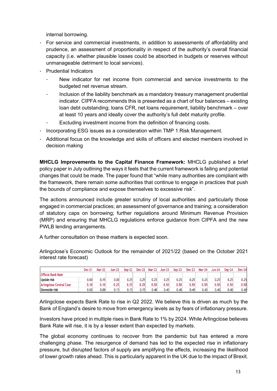internal borrowing.

- For service and commercial investments, in addition to assessments of affordability and prudence, an assessment of proportionality in respect of the authority's overall financial capacity (i.e. whether plausible losses could be absorbed in budgets or reserves without unmanageable detriment to local services).
- Prudential Indicators
	- New indicator for net income from commercial and service investments to the budgeted net revenue stream.
	- Inclusion of the liability benchmark as a mandatory treasury management prudential indicator. CIPFA recommends this is presented as a chart of four balances – existing loan debt outstanding; loans CFR, net loans requirement, liability benchmark – over at least 10 years and ideally cover the authority's full debt maturity profile.
	- Excluding investment income from the definition of financing costs.
- Incorporating ESG issues as a consideration within TMP 1 Risk Management.
- Additional focus on the knowledge and skills of officers and elected members involved in decision making

**MHCLG Improvements to the Capital Finance Framework:** MHCLG published a brief policy paper in July outlining the ways it feels that the current framework is failing and potential changes that could be made. The paper found that "while many authorities are compliant with the framework, there remain some authorities that continue to engage in practices that push the bounds of compliance and expose themselves to excessive risk".

The actions announced include greater scrutiny of local authorities and particularly those engaged in commercial practices; an assessment of governance and training; a consideration of statutory caps on borrowing; further regulations around Minimum Revenue Provision (MRP) and ensuring that MHCLG regulations enforce guidance from CIPFA and the new PWLB lending arrangements.

A further consultation on these matters is expected soon.

Arlingclose's Economic Outlook for the remainder of 2021/22 (based on the October 2021 interest rate forecast)

|                                 | <b>Dec-21</b> | <b>Mar-22</b> | Jun-22 | $Sen-22$ | <b>Dec-22</b> | <b>Mar-23</b> | <b>Jun-23</b> | $Sep-23$ | <b>Dec-23</b> | <b>Mar-24</b> | <b>Jun-24</b> | $Sen-24$ | <b>Dec-24</b> |
|---------------------------------|---------------|---------------|--------|----------|---------------|---------------|---------------|----------|---------------|---------------|---------------|----------|---------------|
| <b>Official Bank Rate</b>       |               |               |        |          |               |               |               |          |               |               |               |          |               |
| Upside risk                     | 0.001         | 0.15          | 0.001  | 0.25     | 0.25          | 0.25          | 0.25          | 0.25     | 0.25          | 0.25          | 0.25          | 0.25     | 0.25          |
| <b>Arlingclose Central Case</b> | 0.10          | 0.10          | 0.25   | 0.25     | 0.25          | 0.50          | 0.50          | 0.50     | 0.50          | 0.50          | 0.50          | 0.50     | 0.50          |
| Downside risk                   | 0.001         | 0.00          | 0.15   | 0.15     | 0.15          | 0.40          | 0.40          | 0.40     | 0.40          | 0.40          | 0.40          | 0.40     | 0.40          |

Arlingclose expects Bank Rate to rise in Q2 2022. We believe this is driven as much by the Bank of England's desire to move from emergency levels as by fears of inflationary pressure.

Investors have priced in multiple rises in Bank Rate to 1% by 2024. While Arlingclose believes Bank Rate will rise, it is by a lesser extent than expected by markets.

The global economy continues to recover from the pandemic but has entered a more challenging phase. The resurgence of demand has led to the expected rise in inflationary pressure, but disrupted factors of supply are amplifying the effects, increasing the likelihood of lower growth rates ahead. This is particularly apparent in the UK due to the impact of Brexit.